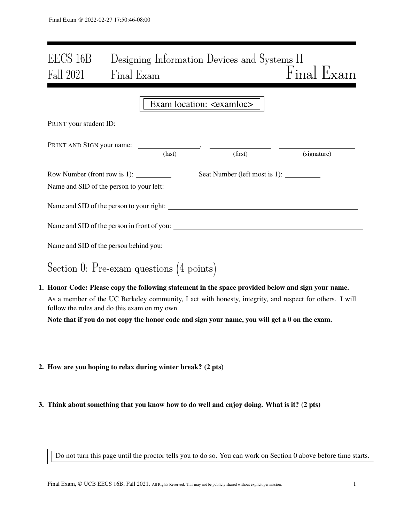# EECS 16B Designing Information Devices and Systems II Fall 2021 Final Exam Final Exam Final Exam

|                                                                                                                                                                                                                                                                                                                                                                                                           |                 | Exam location: <examloc></examloc> |             |
|-----------------------------------------------------------------------------------------------------------------------------------------------------------------------------------------------------------------------------------------------------------------------------------------------------------------------------------------------------------------------------------------------------------|-----------------|------------------------------------|-------------|
| PRINT your student ID:                                                                                                                                                                                                                                                                                                                                                                                    |                 |                                    |             |
|                                                                                                                                                                                                                                                                                                                                                                                                           | $\text{(last)}$ | (first)                            | (signature) |
| Row Number (front row is 1): $\frac{1}{\sqrt{1-\frac{1}{\sqrt{1-\frac{1}{\sqrt{1-\frac{1}{\sqrt{1-\frac{1}{\sqrt{1-\frac{1}{\sqrt{1-\frac{1}{\sqrt{1-\frac{1}{\sqrt{1-\frac{1}{\sqrt{1-\frac{1}{\sqrt{1-\frac{1}{\sqrt{1-\frac{1}{\sqrt{1-\frac{1}{\sqrt{1-\frac{1}{\sqrt{1-\frac{1}{\sqrt{1-\frac{1}{\sqrt{1-\frac{1}{\sqrt{1-\frac{1}{\sqrt{1-\frac{1}{\sqrt{1-\frac{1}{\sqrt{1-\frac{1}{\sqrt{1-\frac$ |                 |                                    |             |
| Name and SID of the person to your right:                                                                                                                                                                                                                                                                                                                                                                 |                 |                                    |             |
|                                                                                                                                                                                                                                                                                                                                                                                                           |                 |                                    |             |
|                                                                                                                                                                                                                                                                                                                                                                                                           |                 |                                    |             |
| Section 0: Pre-exam questions $(4 \text{ points})$                                                                                                                                                                                                                                                                                                                                                        |                 |                                    |             |
| 1. Honor Code: Please copy the following statement in the space provided below and sign your name.<br>As a manufactured that HC Daulester, commenter I act with homesty integrates and monarch famothems. I will                                                                                                                                                                                          |                 |                                    |             |

As a member of the UC Berkeley community, I act with honesty, integrity, and respect for others. I will follow the rules and do this exam on my own.

Note that if you do not copy the honor code and sign your name, you will get a 0 on the exam.

- 2. How are you hoping to relax during winter break? (2 pts)
- 3. Think about something that you know how to do well and enjoy doing. What is it? (2 pts)

Do not turn this page until the proctor tells you to do so. You can work on Section 0 above before time starts.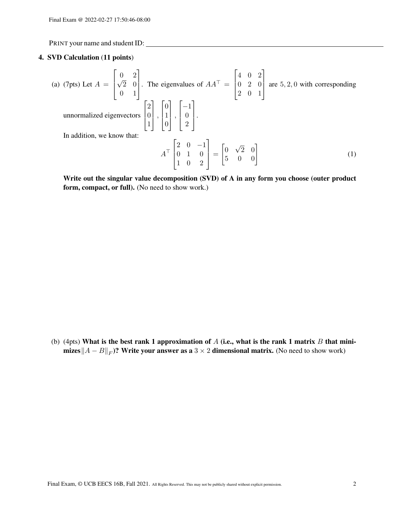## 4. SVD Calculation (11 points)

(a) (7pts) Let 
$$
A = \begin{bmatrix} 0 & 2 \ \sqrt{2} & 0 \ 0 & 1 \end{bmatrix}
$$
. The eigenvalues of  $AA^{\top} = \begin{bmatrix} 4 & 0 & 2 \ 0 & 2 & 0 \ 2 & 0 & 1 \end{bmatrix}$  are 5, 2, 0 with corresponding  
unnormalized eigenvectors  $\begin{bmatrix} 2 \ 0 \ 1 \end{bmatrix}$ ,  $\begin{bmatrix} 0 \ 1 \ 0 \end{bmatrix}$ ,  $\begin{bmatrix} -1 \ 0 \ 2 \end{bmatrix}$ .  
In addition, we know that:  

$$
A^{\top} \begin{bmatrix} 2 & 0 & -1 \ 0 & 1 & 0 \ 1 & 0 & 2 \end{bmatrix} = \begin{bmatrix} 0 & \sqrt{2} & 0 \ 5 & 0 & 0 \end{bmatrix}
$$
(1)

Write out the singular value decomposition (SVD) of A in any form you choose (outer product form, compact, or full). (No need to show work.)

(b) (4pts) What is the best rank 1 approximation of  $A$  (i.e., what is the rank 1 matrix  $B$  that minimizes $\|A-B\|_F$ )? Write your answer as a  $3\times 2$  dimensional matrix. (No need to show work)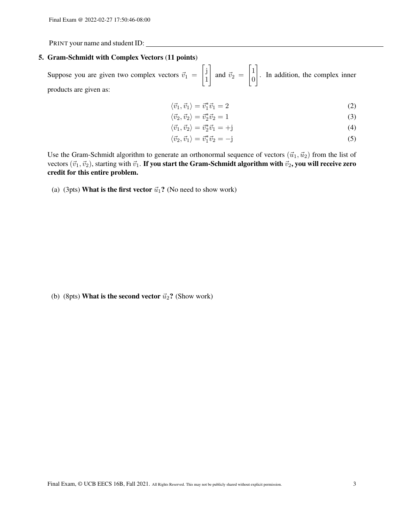#### 5. Gram-Schmidt with Complex Vectors (11 points)

Suppose you are given two complex vectors  $\vec{v}_1$  =  $\int$  j 1 1 and  $\vec{v}_2$  =  $\lceil 1 \rceil$ 0 1 . In addition, the complex inner products are given as:

$$
\langle \vec{v}_1, \vec{v}_1 \rangle = \vec{v}_1^* \vec{v}_1 = 2 \tag{2}
$$

$$
\langle \vec{v}_2, \vec{v}_2 \rangle = \vec{v}_2^* \vec{v}_2 = 1 \tag{3}
$$

$$
\langle \vec{v}_1, \vec{v}_2 \rangle = \vec{v}_2^* \vec{v}_1 = +\mathbf{j} \tag{4}
$$

$$
\langle \vec{v}_2, \vec{v}_1 \rangle = \vec{v}_1^* \vec{v}_2 = -\mathbf{j} \tag{5}
$$

Use the Gram-Schmidt algorithm to generate an orthonormal sequence of vectors  $(\vec{u}_1, \vec{u}_2)$  from the list of vectors  $(\vec{v}_1, \vec{v}_2)$ , starting with  $\vec{v}_1$ . If you start the Gram-Schmidt algorithm with  $\vec{v}_2$ , you will receive zero credit for this entire problem.

(a) (3pts) What is the first vector  $\vec{u}_1$ ? (No need to show work)

(b) (8pts) What is the second vector  $\vec{u}_2$ ? (Show work)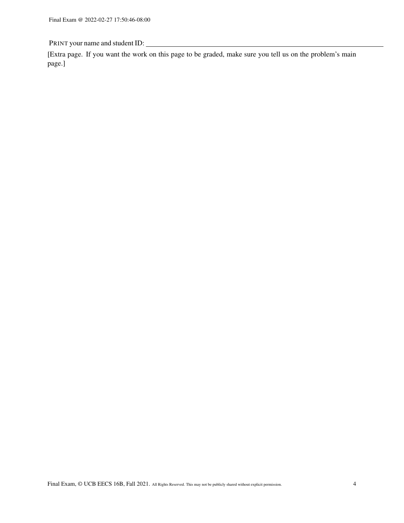[Extra page. If you want the work on this page to be graded, make sure you tell us on the problem's main page.]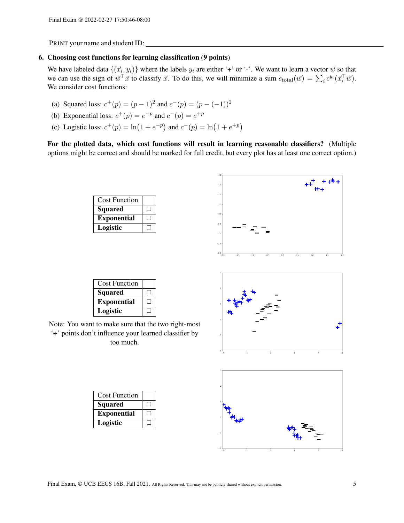## 6. Choosing cost functions for learning classification (9 points)

We have labeled data  $\{(\vec{x}_i, y_i)\}$  where the labels  $y_i$  are either '+' or '-'. We want to learn a vector  $\vec{w}$  so that we can use the sign of  $\vec{w}^\top \vec{x}$  to classify  $\vec{x}$ . To do this, we will minimize a sum  $c_{\text{total}}(\vec{w}) = \sum_i c^{y_i}(\vec{x}_i^\top \vec{w})$ . We consider cost functions:

- (a) Squared loss:  $c^+(p) = (p-1)^2$  and  $c^-(p) = (p-(-1))^2$
- (b) Exponential loss:  $c^+(p) = e^{-p}$  and  $c^-(p) = e^{+p}$
- (c) Logistic loss:  $c^+(p) = \ln(1 + e^{-p})$  and  $c^-(p) = \ln(1 + e^{+p})$

For the plotted data, which cost functions will result in learning reasonable classifiers? (Multiple options might be correct and should be marked for full credit, but every plot has at least one correct option.)

| <b>Cost Function</b> |  |
|----------------------|--|
| <b>Squared</b>       |  |
| <b>Exponential</b>   |  |
| Logistic             |  |





| <b>Cost Function</b> |              |
|----------------------|--------------|
| Squared              |              |
| <b>Exponential</b>   | $\mathsf{L}$ |
| Logistic             |              |

Note: You want to make sure that the two right-most '+' points don't influence your learned classifier by too much.

| <b>Cost Function</b> |  |
|----------------------|--|
| <b>Squared</b>       |  |
| <b>Exponential</b>   |  |
| Logistic             |  |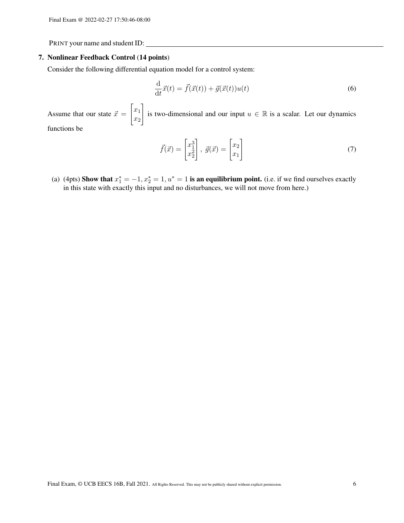#### 7. Nonlinear Feedback Control (14 points)

Consider the following differential equation model for a control system:

$$
\frac{\mathrm{d}}{\mathrm{d}t}\vec{x}(t) = \vec{f}(\vec{x}(t)) + \vec{g}(\vec{x}(t))u(t)
$$
\n(6)

Assume that our state  $\vec{x} =$  $\lceil x_1 \rceil$  $\overline{x_2}$ 1 is two-dimensional and our input  $u \in \mathbb{R}$  is a scalar. Let our dynamics functions be

$$
\vec{f}(\vec{x}) = \begin{bmatrix} x_1^3 \\ x_2^2 \end{bmatrix}, \ \vec{g}(\vec{x}) = \begin{bmatrix} x_2 \\ x_1 \end{bmatrix}
$$
\n(7)

(a) (4pts) Show that  $x_1^* = -1, x_2^* = 1, u^* = 1$  is an equilibrium point. (i.e. if we find ourselves exactly in this state with exactly this input and no disturbances, we will not move from here.)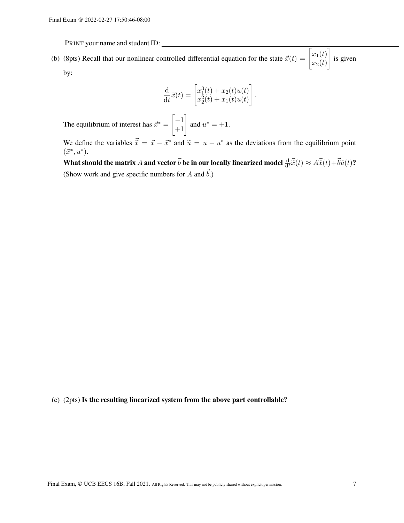(b) (8pts) Recall that our nonlinear controlled differential equation for the state  $\vec{x}(t) = \begin{bmatrix} x_1(t) \\ x_2(t) \end{bmatrix}$  $x_2(t)$ 1 is given by:

$$
\frac{\mathrm{d}}{\mathrm{d}t}\vec{x}(t) = \begin{bmatrix} x_1^3(t) + x_2(t)u(t) \\ x_2^2(t) + x_1(t)u(t) \end{bmatrix}.
$$

The equilibrium of interest has  $\vec{x}^*$  =  $\begin{bmatrix} -1 \\ +1 \end{bmatrix}$  and  $u^* = +1$ .

We define the variables  $\vec{\tilde{x}} = \vec{x} - \vec{x}^*$  and  $\tilde{u} = u - u^*$  as the deviations from the equilibrium point  $(\vec{x}^*, u^*)$  $(\vec{x}^*, u^*).$ 

What should the matrix A and vector  $\vec{b}$  be in our locally linearized model  $\frac{d}{dt}\vec{\tilde{x}}(t) \approx A\vec{\tilde{x}}(t) + \vec{b}\tilde{u}(t)$ ? (Show work and give specific numbers for A and  $\vec{b}$ .)

# (c) (2pts) Is the resulting linearized system from the above part controllable?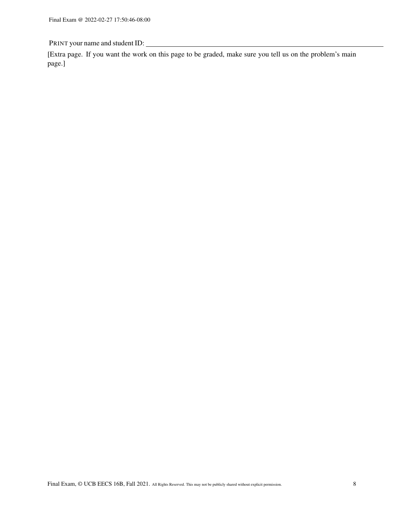[Extra page. If you want the work on this page to be graded, make sure you tell us on the problem's main page.]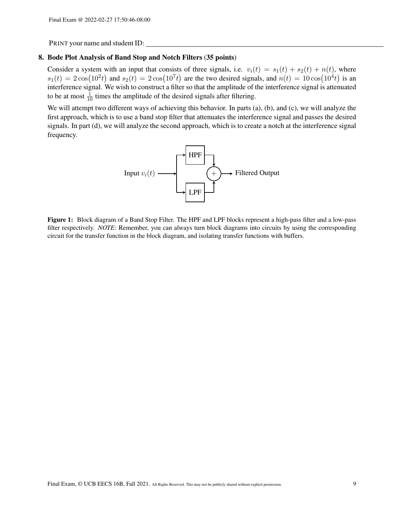# 8. Bode Plot Analysis of Band Stop and Notch Filters (35 points)

Consider a system with an input that consists of three signals, i.e.  $v_i(t) = s_1(t) + s_2(t) + n(t)$ , where  $s_1(t) = 2\cos(10^2t)$  and  $s_2(t) = 2\cos(10^7t)$  are the two desired signals, and  $n(t) = 10\cos(10^4t)$  is an interference signal. We wish to construct a filter so that the amplitude of the interference signal is attenuated to be at most  $\frac{1}{10}$  times the amplitude of the desired signals after filtering.

<span id="page-8-0"></span>We will attempt two different ways of achieving this behavior. In parts (a), (b), and (c), we will analyze the first approach, which is to use a band stop filter that attenuates the interference signal and passes the desired signals. In part (d), we will analyze the second approach, which is to create a notch at the interference signal frequency.



Figure 1: Block diagram of a Band Stop Filter. The HPF and LPF blocks represent a high-pass filter and a low-pass filter respectively. *NOTE*: Remember, you can always turn block diagrams into circuits by using the corresponding circuit for the transfer function in the block diagram, and isolating transfer functions with buffers.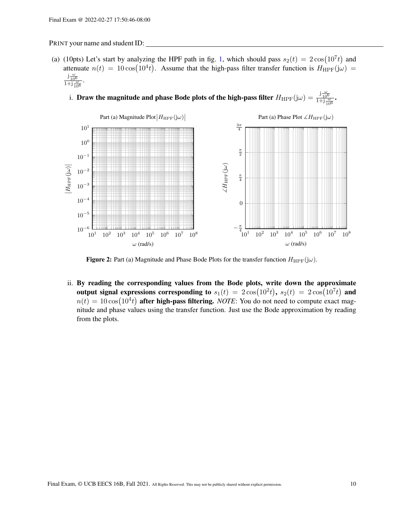- (a) (10pts) Let's start by analyzing the HPF path in fig. [1,](#page-8-0) which should pass  $s_2(t) = 2\cos(10^7t)$  and attenuate  $n(t) = 10 \cos(10^4 t)$ . Assume that the high-pass filter transfer function is  $H_{\text{HPF}}(j\omega)$  =  $rac{j\frac{\omega}{10^6}}{1+j\frac{\omega}{10^6}}$ .
	- i. Draw the magnitude and phase Bode plots of the high-pass filter  $H_{\text{HPF}}(j\omega) = \frac{j\frac{\omega}{10^6}}{1+j\frac{\omega}{10^6}}$ .



**Figure 2:** Part (a) Magnitude and Phase Bode Plots for the transfer function  $H_{\text{HPF}}(j\omega)$ .

ii. By reading the corresponding values from the Bode plots, write down the approximate output signal expressions corresponding to  $s_1(t) = 2\cos(10^2 t), \, s_2(t) = 2\cos(10^7 t)$  and  $n(t) = 10 \cos(10^4 t)$  after high-pass filtering. *NOTE*: You do not need to compute exact magnitude and phase values using the transfer function. Just use the Bode approximation by reading from the plots.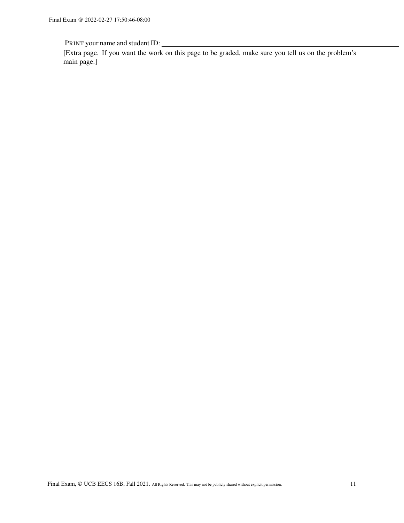[Extra page. If you want the work on this page to be graded, make sure you tell us on the problem's main page.]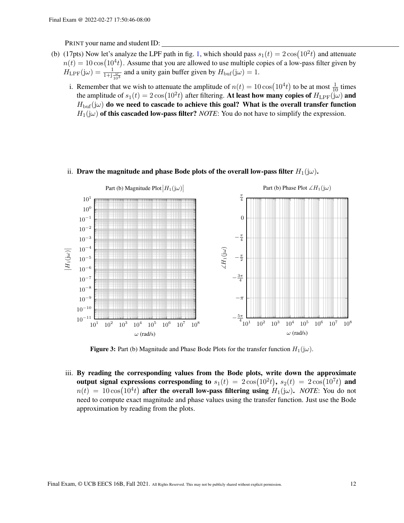- (b) (17pts) Now let's analyze the LPF path in fig. [1,](#page-8-0) which should pass  $s_1(t) = 2\cos(10^2 t)$  and attenuate  $n(t) = 10 \cos(10^4 t)$ . Assume that you are allowed to use multiple copies of a low-pass filter given by  $H_{\text{LPF}}(j\omega) = \frac{1}{1+j\frac{\omega}{10^3}}$  and a unity gain buffer given by  $H_{\text{buf}}(j\omega) = 1$ .
	- i. Remember that we wish to attenuate the amplitude of  $n(t) = 10 \cos(10^4 t)$  to be at most  $\frac{1}{10}$  times the amplitude of  $s_1(t) = 2\cos(10^2t)$  after filtering. At least how many copies of  $H_{\text{LPF}}(j\omega)$  and  $H_{\text{buf}}(j\omega)$  do we need to cascade to achieve this goal? What is the overall transfer function  $H_1(j\omega)$  of this cascaded low-pass filter? *NOTE*: You do not have to simplify the expression.



## ii. Draw the magnitude and phase Bode plots of the overall low-pass filter  $H_1(j\omega)$ .

**Figure 3:** Part (b) Magnitude and Phase Bode Plots for the transfer function  $H_1(j\omega)$ .

iii. By reading the corresponding values from the Bode plots, write down the approximate output signal expressions corresponding to  $s_1(t) = 2\cos(10^2t)$ ,  $s_2(t) = 2\cos(10^7t)$  and  $n(t) = 10 \cos(10^4 t)$  after the overall low-pass filtering using  $H_1(j\omega)$ . *NOTE*: You do not need to compute exact magnitude and phase values using the transfer function. Just use the Bode approximation by reading from the plots.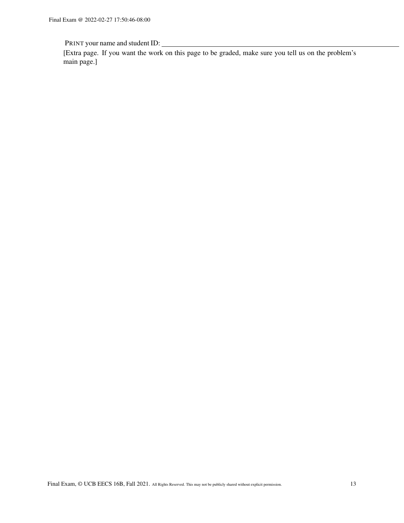[Extra page. If you want the work on this page to be graded, make sure you tell us on the problem's main page.]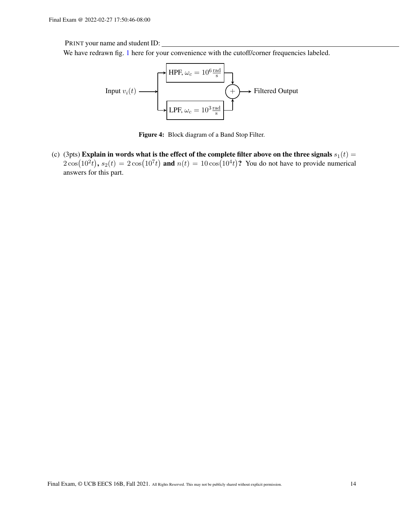We have redrawn fig. [1](#page-8-0) here for your convenience with the cutoff/corner frequencies labeled.



Figure 4: Block diagram of a Band Stop Filter.

(c) (3pts) Explain in words what is the effect of the complete filter above on the three signals  $s_1(t)$  =  $2\cos(10^2t)$ ,  $s_2(t) = 2\cos(10^7t)$  and  $n(t) = 10\cos(10^4t)$ ? You do not have to provide numerical answers for this part.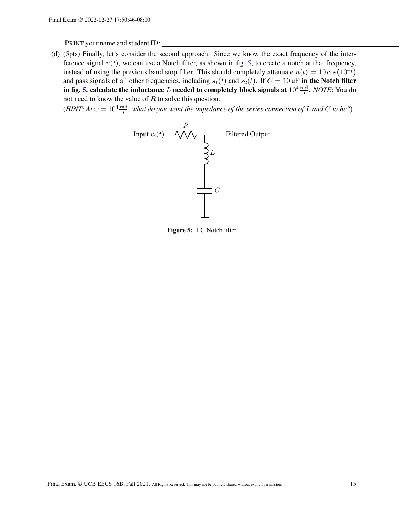(d) (5pts) Finally, let's consider the second approach. Since we know the exact frequency of the interference signal  $n(t)$ , we can use a Notch filter, as shown in fig. [5,](#page-14-0) to create a notch at that frequency, instead of using the previous band stop filter. This should completely attenuate  $n(t) = 10 \cos(10^4 t)$ and pass signals of all other frequencies, including  $s_1(t)$  and  $s_2(t)$ . If  $C = 10 \mu F$  in the Notch filter in fig. [5,](#page-14-0) calculate the inductance  $L$  needed to completely block signals at  $10^4 \frac{\text{rad}}{\text{s}}$ . *NOTE*: You do not need to know the value of R to solve this question.

<span id="page-14-0"></span>(*HINT*: At  $\omega = 10^4 \frac{\text{rad}}{\text{s}}$ , what do you want the impedance of the series connection of L and C to be?)



Figure 5: LC Notch filter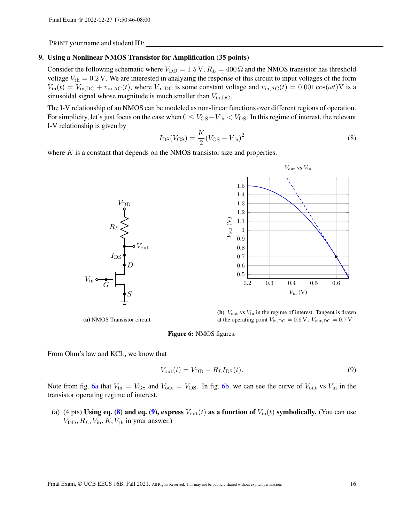#### 9. Using a Nonlinear NMOS Transistor for Amplification (35 points)

Consider the following schematic where  $V_{\text{DD}} = 1.5 \text{ V}$ ,  $R_L = 400 \Omega$  and the NMOS transistor has threshold voltage  $V_{\text{th}} = 0.2 \text{ V}$ . We are interested in analyzing the response of this circuit to input voltages of the form  $V_{\text{in}}(t) = V_{\text{in,DC}} + v_{\text{in,AC}}(t)$ , where  $V_{\text{in,DC}}$  is some constant voltage and  $v_{\text{in,AC}}(t) = 0.001 \cos(\omega t) \text{V}$  is a sinusoidal signal whose magnitude is much smaller than  $V_{\text{in,DC}}$ .

The I-V relationship of an NMOS can be modeled as non-linear functions over different regions of operation. For simplicity, let's just focus on the case when  $0 \leq V_{\rm GS} - V_{\rm th} < V_{\rm DS}$ . In this regime of interest, the relevant I-V relationship is given by

<span id="page-15-1"></span>
$$
I_{\rm DS}(V_{\rm GS}) = \frac{K}{2}(V_{\rm GS} - V_{\rm th})^2
$$
\n(8)

<span id="page-15-0"></span>where  $K$  is a constant that depends on the NMOS transistor size and properties.





(b)  $V_{\text{out}}$  vs  $V_{\text{in}}$  in the regime of interest. Tangent is drawn at the operating point  $V_{\text{in,DC}} = 0.6 \text{ V}$ ,  $V_{\text{out,DC}} = 0.7 \text{ V}$ 



From Ohm's law and KCL, we know that

(a) NMOS Transistor circuit

<span id="page-15-2"></span>
$$
V_{\text{out}}(t) = V_{\text{DD}} - R_L I_{\text{DS}}(t). \tag{9}
$$

Note from fig. [6a](#page-15-0) that  $V_{in} = V_{GS}$  and  $V_{out} = V_{DS}$ . In fig. [6b,](#page-15-0) we can see the curve of  $V_{out}$  vs  $V_{in}$  in the transistor operating regime of interest.

(a) (4 pts) Using eq. [\(8\)](#page-15-1) and eq. [\(9\)](#page-15-2), express  $V_{\text{out}}(t)$  as a function of  $V_{\text{in}}(t)$  symbolically. (You can use  $V_{\text{DD}}, R_L, V_{\text{in}}, K, V_{\text{th}}$  in your answer.)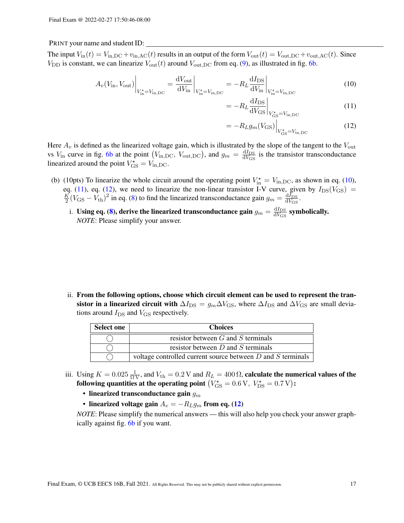The input  $V_{\text{in}}(t) = V_{\text{in,DC}} + v_{\text{in,AC}}(t)$  results in an output of the form  $V_{\text{out}}(t) = V_{\text{out,DC}} + v_{\text{out,AC}}(t)$ . Since  $V_{\text{DD}}$  is constant, we can linearize  $V_{\text{out}}(t)$  around  $V_{\text{out,DC}}$  from eq. [\(9\)](#page-15-2), as illustrated in fig. [6b.](#page-15-0)

$$
A_v(V_{\rm in}, V_{\rm out})\Big|_{V_{\rm in}^\star = V_{\rm in,DC}} = \frac{\mathrm{d}V_{\rm out}}{\mathrm{d}V_{\rm in}}\Big|_{V_{\rm in}^\star = V_{\rm in,DC}} = -R_L \frac{\mathrm{d}I_{\rm DS}}{\mathrm{d}V_{\rm in}}\Big|_{V_{\rm in}^\star = V_{\rm in,DC}} \tag{10}
$$

<span id="page-16-1"></span><span id="page-16-0"></span>
$$
= -R_L \frac{dI_{DS}}{dV_{GS}} \bigg|_{V_{GS}^{\star} = V_{\text{in,DC}}} \tag{11}
$$

<span id="page-16-2"></span>
$$
= -R_L g_m(V_{\rm GS})\Big|_{V_{\rm GS}^{\star} = V_{\rm in,DC}} \tag{12}
$$

Here  $A_v$  is defined as the linearized voltage gain, which is illustrated by the slope of the tangent to the  $V_{\text{out}}$ vs  $V_{\text{in}}$  curve in fig. [6b](#page-15-0) at the point  $(V_{\text{in,DC}}, V_{\text{out,DC}})$ , and  $g_m = \frac{dI_{\text{DS}}}{dV_{\text{CS}}}$  $\frac{dI_{DS}}{dV_{GS}}$  is the transistor transconductance linearized around the point  $V_{\text{GS}}^* = V_{\text{in,DC}}$ .

- (b) (10pts) To linearize the whole circuit around the operating point  $V_{\text{in}}^* = V_{\text{in,DC}}$ , as shown in eq. [\(10\)](#page-16-0), eq. [\(11\)](#page-16-1), eq. [\(12\)](#page-16-2), we need to linearize the non-linear transistor I-V curve, given by  $I_{DS}(V_{GS}) =$ K  $\frac{1}{2}(V_{\rm GS} - V_{\rm th})^2$  in eq. [\(8\)](#page-15-1) to find the linearized transconductance gain  $g_m = \frac{dI_{\rm DS}}{dV_{\rm GS}}$  $\overline{\mathrm{d}V_\mathrm{GS}}$ .
	- i. Using eq. [\(8\)](#page-15-1), derive the linearized transconductance gain  $g_m = \frac{dI_{DS}}{dV_{CS}}$  $\frac{dI_{DS}}{dV_{GS}}$  symbolically. *NOTE*: Please simplify your answer.

ii. From the following options, choose which circuit element can be used to represent the transistor in a linearized circuit with  $\Delta I_{\rm DS} = g_m \Delta V_{\rm GS}$ , where  $\Delta I_{\rm DS}$  and  $\Delta V_{\rm GS}$  are small deviations around  $I_{DS}$  and  $V_{GS}$  respectively.

| <b>Select one</b> | <b>Choices</b>                                                  |  |  |
|-------------------|-----------------------------------------------------------------|--|--|
|                   | resistor between $G$ and $S$ terminals                          |  |  |
|                   | resistor between $D$ and $S$ terminals                          |  |  |
|                   | voltage controlled current source between $D$ and $S$ terminals |  |  |

- iii. Using  $K = 0.025 \frac{1}{\Omega V}$ , and  $V_{\text{th}} = 0.2 V$  and  $R_L = 400 \Omega$ , calculate the numerical values of the following quantities at the operating point  $\left(V_{\rm GS}^{\star} = 0.6\,\textrm{V},\ V_{\rm DS}^{\star} = 0.7\,\textrm{V}\right)$ :
	- linearized transconductance gain  $g_m$
	- linearized voltage gain  $A_v = -R_L g_m$  from eq. [\(12\)](#page-16-2)

*NOTE*: Please simplify the numerical answers — this will also help you check your answer graphically against fig. [6b](#page-15-0) if you want.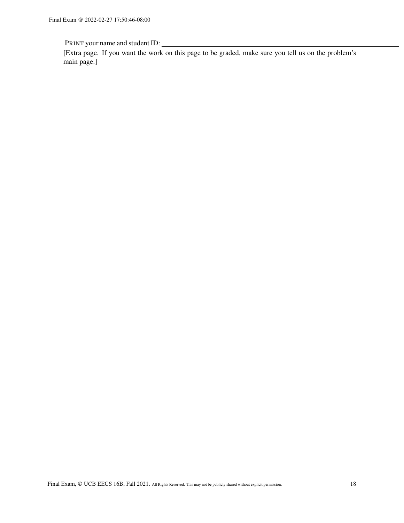[Extra page. If you want the work on this page to be graded, make sure you tell us on the problem's main page.]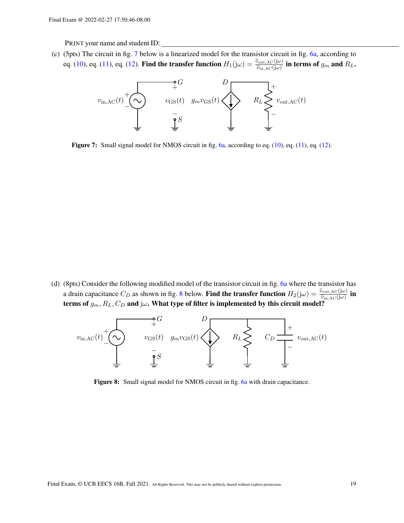<span id="page-18-0"></span>(c) (5pts) The circuit in fig. [7](#page-18-0) below is a linearized model for the transistor circuit in fig. [6a,](#page-15-0) according to eq. [\(10\)](#page-16-0), eq. [\(11\)](#page-16-1), eq. [\(12\)](#page-16-2). Find the transfer function  $H_1(j\omega) = \frac{\tilde{v}_{\text{out,AC}(j\omega)}}{\tilde{v}_{\text{in,AC}(j\omega)}}$  in terms of  $g_m$  and  $R_L$ .



Figure 7: Small signal model for NMOS circuit in fig. [6a,](#page-15-0) according to eq. [\(10\)](#page-16-0), eq. [\(11\)](#page-16-1), eq. [\(12\)](#page-16-2).

(d) (8pts) Consider the following modified model of the transistor circuit in fig. [6a](#page-15-0) where the transistor has a drain capacitance  $C_D$  as shown in fig. [8](#page-18-1) below. Find the transfer function  $H_2(j\omega) = \frac{\tilde{v}_{\text{out,AC}}(j\omega)}{\tilde{v}_{\text{in,AC}}(j\omega)}$  in<br>torms of  $s = P_2$ ,  $C_2$  and  $j\omega$ . What type of filter is implemented by this singuit model terms of  $g_m$ ,  $R_L$ ,  $C_D$  and j $\omega$ . What type of filter is implemented by this circuit model?

<span id="page-18-1"></span>

**Figure 8:** Small signal model for NMOS circuit in fig. [6a](#page-15-0) with drain capacitance.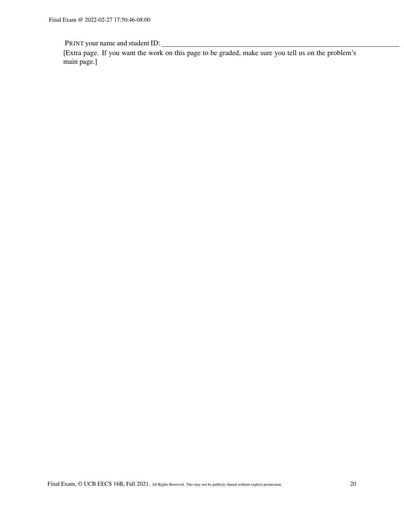[Extra page. If you want the work on this page to be graded, make sure you tell us on the problem's main page.]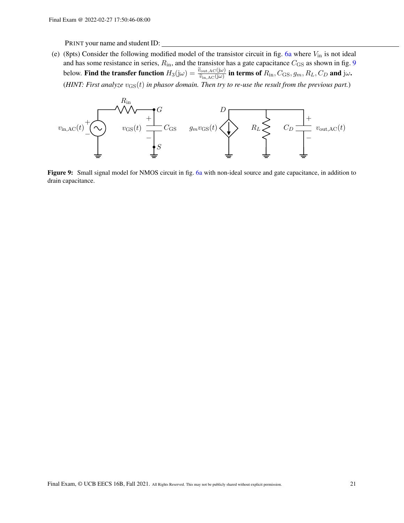(e) (8pts) Consider the following modified model of the transistor circuit in fig. [6a](#page-15-0) where  $V_{\text{in}}$  is not ideal and has some resistance in series,  $R_{\rm in}$ , and the transistor has a gate capacitance  $C_{\rm GS}$  as shown in fig. [9](#page-20-0) below. Find the transfer function  $H_3(j\omega) = \frac{\tilde{v}_{\text{out,AC}}(j\omega)}{\tilde{v}_{\text{in,AC}}(j\omega)}$  in terms of  $R_{\text{in}}$ ,  $C_{\text{GS}}$ ,  $g_m$ ,  $R_L$ ,  $C_D$  and  $j\omega$ . (*HINT: First analyze*  $v_{\text{GS}}(t)$  *in phasor domain. Then try to re-use the result from the previous part.*)

<span id="page-20-0"></span>

Figure 9: Small signal model for NMOS circuit in fig. [6a](#page-15-0) with non-ideal source and gate capacitance, in addition to drain capacitance.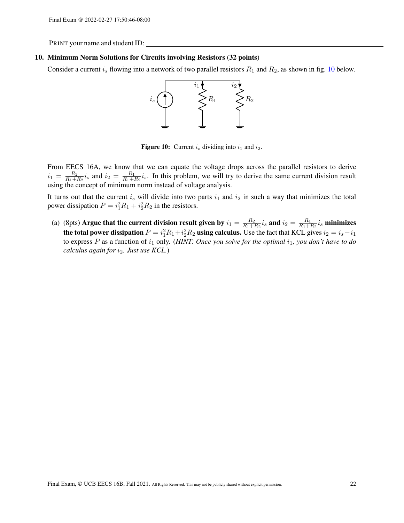#### 10. Minimum Norm Solutions for Circuits involving Resistors (32 points)

<span id="page-21-0"></span>Consider a current  $i_s$  flowing into a network of two parallel resistors  $R_1$  and  $R_2$ , as shown in fig. [10](#page-21-0) below.



**Figure 10:** Current  $i_s$  dividing into  $i_1$  and  $i_2$ .

From EECS 16A, we know that we can equate the voltage drops across the parallel resistors to derive  $i_1 = \frac{R_2}{R_1 + R_2}$  $\frac{R_2}{R_1+R_2}i_s$  and  $i_2 = \frac{R_1}{R_1+R_2}$  $\frac{R_1}{R_1+R_2}i_s$ . In this problem, we will try to derive the same current division result using the concept of minimum norm instead of voltage analysis.

It turns out that the current  $i_s$  will divide into two parts  $i_1$  and  $i_2$  in such a way that minimizes the total power dissipation  $P = i_1^2 R_1 + i_2^2 R_2$  in the resistors.

(a) (8pts) Argue that the current division result given by  $i_1 = \frac{R_2}{R_1 + R_2}$  $\frac{R_2}{R_1+R_2}i_s$  and  $i_2=\frac{R_1}{R_1+1}$  $\frac{R_1}{R_1+R_2} i_s$  minimizes the total power dissipation  $P = i_1^2 R_1 + i_2^2 R_2$  using calculus. Use the fact that KCL gives  $i_2 = i_s - i_1$ to express  $P$  as a function of  $i_1$  only. (*HINT: Once you solve for the optimal*  $i_1$ *, you don't have to do calculus again for* i2*. Just use KCL.*)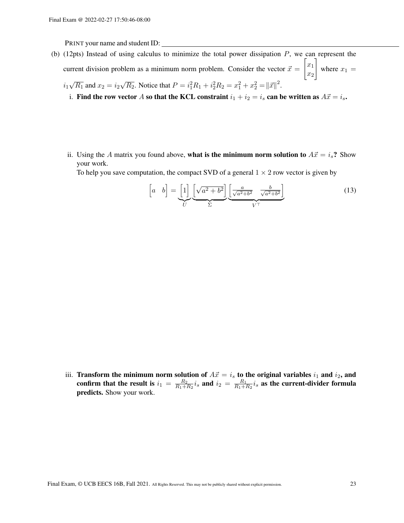(b) (12pts) Instead of using calculus to minimize the total power dissipation  $P$ , we can represent the current division problem as a minimum norm problem. Consider the vector  $\vec{x} =$  $\lceil x_1 \rceil$  $\overline{x_2}$ 1 where  $x_1 =$ 

$$
i_1\sqrt{R_1}
$$
 and  $x_2 = i_2\sqrt{R_2}$ . Notice that  $P = i_1^2 R_1 + i_2^2 R_2 = x_1^2 + x_2^2 = ||\vec{x}||^2$ 

- i. Find the row vector A so that the KCL constraint  $i_1 + i_2 = i_s$  can be written as  $A\vec{x} = i_s$ .
- ii. Using the A matrix you found above, what is the minimum norm solution to  $A\vec{x} = i_s$ ? Show your work.

To help you save computation, the compact SVD of a general  $1 \times 2$  row vector is given by

$$
\begin{bmatrix} a & b \end{bmatrix} = \underbrace{\begin{bmatrix} 1 \end{bmatrix}}_{U} \underbrace{\begin{bmatrix} \sqrt{a^2 + b^2} \end{bmatrix}}_{\Sigma} \underbrace{\begin{bmatrix} \frac{a}{\sqrt{a^2 + b^2}} & \frac{b}{\sqrt{a^2 + b^2}} \end{bmatrix}}_{V^{\top}}
$$
\n(13)

.

iii. Transform the minimum norm solution of  $A\vec{x} = i_s$  to the original variables  $i_1$  and  $i_2$ , and confirm that the result is  $i_1 = \frac{R_2}{R_1 + R_2}$  $\frac{R_2}{R_1+R_2}i_s$  and  $i_2 = \frac{R_1}{R_1+R_2}$  $\frac{R_1}{R_1+R_2}i_s$  as the current-divider formula predicts. Show your work.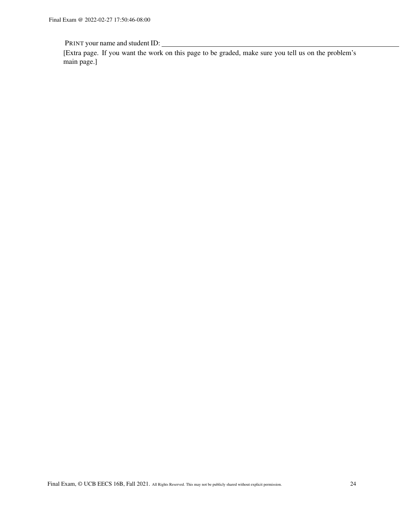[Extra page. If you want the work on this page to be graded, make sure you tell us on the problem's main page.]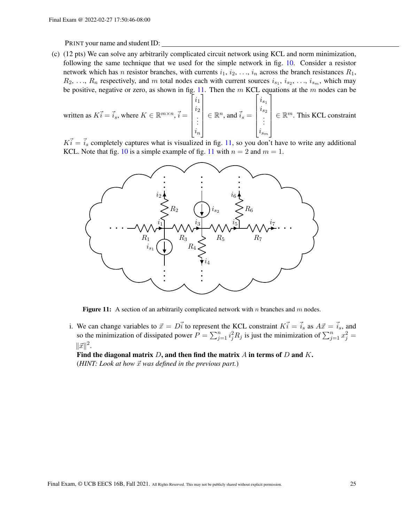(c) (12 pts) We can solve any arbitrarily complicated circuit network using KCL and norm minimization, following the same technique that we used for the simple network in fig. [10.](#page-21-0) Consider a resistor network which has *n* resistor branches, with currents  $i_1, i_2, \ldots, i_n$  across the branch resistances  $R_1$ ,  $R_2, \ldots, R_n$  respectively, and m total nodes each with current sources  $i_{s_1}, i_{s_2}, \ldots, i_{s_m}$ , which may be positive, negative or zero, as shown in fig. [11.](#page-24-0) Then the  $m$  KCL equations at the  $m$  nodes can be

written as 
$$
K\vec{i} = \vec{i}_s
$$
, where  $K \in \mathbb{R}^{m \times n}$ ,  $\vec{i} = \begin{bmatrix} i_1 \\ i_2 \\ \vdots \\ i_n \end{bmatrix} \in \mathbb{R}^n$ , and  $\vec{i}_s = \begin{bmatrix} i_{s_1} \\ i_{s_2} \\ \vdots \\ i_{s_m} \end{bmatrix} \in \mathbb{R}^m$ . This KCL constraint

<span id="page-24-0"></span> $K_i = \vec{i}_s$  completely captures what is visualized in fig. [11,](#page-24-0) so you don't have to write any additional KCL. Note that fig. [10](#page-21-0) is a simple example of fig. [11](#page-24-0) with  $n = 2$  and  $m = 1$ .



Figure 11: A section of an arbitrarily complicated network with n branches and m nodes.

i. We can change variables to  $\vec{x} = D\vec{i}$  to represent the KCL constraint  $K\vec{i} = \vec{i}_s$  as  $A\vec{x} = \vec{i}_s$ , and so the minimization of dissipated power  $P = \sum_{j=1}^{n} i_j^2 R_j$  is just the minimization of  $\sum_{j=1}^{n} x_j^2 =$  $\|\vec{x}\|^2$ .

Find the diagonal matrix  $D$ , and then find the matrix  $A$  in terms of  $D$  and  $K$ . ( $HINT: Look at how  $\vec{x}$  was defined in the previous part.)$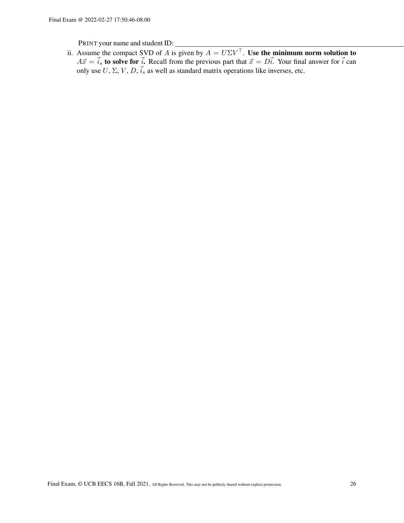ii. Assume the compact SVD of A is given by  $A = U\Sigma V^{\top}$ . Use the minimum norm solution to  $A\vec{x} = \vec{i}_s$  to solve for  $\vec{i}$ . Recall from the previous part that  $\vec{x} = D\vec{i}$ . Your final answer for  $\vec{i}$  can only use U,  $\Sigma$ , V, D,  $\vec{i}_s$  as well as standard matrix operations like inverses, etc.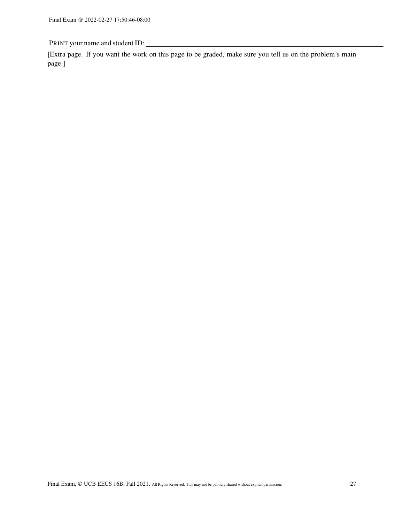[Extra page. If you want the work on this page to be graded, make sure you tell us on the problem's main page.]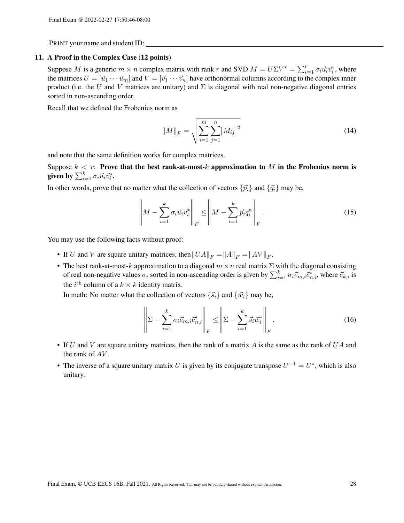#### 11. A Proof in the Complex Case (12 points)

Suppose M is a generic  $m \times n$  complex matrix with rank r and SVD  $M = U\Sigma V^* = \sum_{i=1}^r \sigma_i \vec{u}_i \vec{v}_i^*$ , where the matrices  $U = [\vec{u}_1 \cdots \vec{u}_m]$  and  $V = [\vec{v}_1 \cdots \vec{v}_n]$  have orthonormal columns according to the complex inner product (i.e. the U and V matrices are unitary) and  $\Sigma$  is diagonal with real non-negative diagonal entries sorted in non-ascending order.

Recall that we defined the Frobenius norm as

$$
||M||_F = \sqrt{\sum_{i=1}^{m} \sum_{j=1}^{n} |M_{ij}|^2}
$$
 (14)

and note that the same definition works for complex matrices.

Suppose  $k < r$ . Prove that the best rank-at-most-k approximation to M in the Frobenius norm is given by  $\sum_{i=1}^k \sigma_i \vec{u}_i \vec{v}_i^*.$ 

In other words, prove that no matter what the collection of vectors  $\{\vec{p}_i\}$  and  $\{\vec{q}_i\}$  may be,

$$
\left\| M - \sum_{i=1}^{k} \sigma_i \vec{u}_i \vec{v}_i^* \right\|_F \le \left\| M - \sum_{i=1}^{k} \vec{p}_i \vec{q}_i^* \right\|_F.
$$
\n(15)

You may use the following facts without proof:

- If U and V are square unitary matrices, then  $||UA||_F = ||A||_F = ||AV||_F$ .
- The best rank-at-most-k approximation to a diagonal  $m \times n$  real matrix  $\Sigma$  with the diagonal consisting of real non-negative values  $\sigma_i$  sorted in non-ascending order is given by  $\sum_{i=1}^k \sigma_i \vec{e}_{m,i}$ , where  $\vec{e}_{k,i}$  is the *i*<sup>th</sup> column of a  $k \times k$  identity matrix.

In math: No matter what the collection of vectors  $\{\vec{s}_i\}$  and  $\{\vec{w}_i\}$  may be,

$$
\left\| \Sigma - \sum_{i=1}^{k} \sigma_i \vec{e}_{m,i} \vec{e}_{n,i}^* \right\|_F \le \left\| \Sigma - \sum_{i=1}^{k} \vec{s}_i \vec{w}_i^* \right\|_F.
$$
 (16)

- If  $U$  and  $V$  are square unitary matrices, then the rank of a matrix  $A$  is the same as the rank of  $UA$  and the rank of  $AV$ .
- The inverse of a square unitary matrix U is given by its conjugate transpose  $U^{-1} = U^*$ , which is also unitary.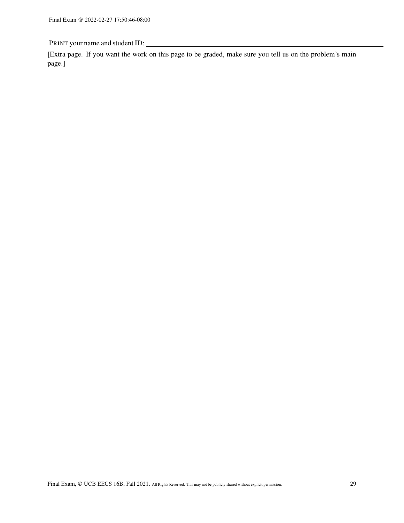[Extra page. If you want the work on this page to be graded, make sure you tell us on the problem's main page.]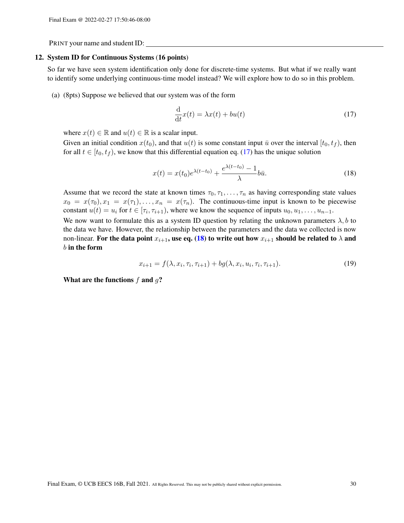#### 12. System ID for Continuous Systems (16 points)

So far we have seen system identification only done for discrete-time systems. But what if we really want to identify some underlying continuous-time model instead? We will explore how to do so in this problem.

(a) (8pts) Suppose we believed that our system was of the form

<span id="page-29-1"></span><span id="page-29-0"></span>
$$
\frac{\mathrm{d}}{\mathrm{d}t}x(t) = \lambda x(t) + bu(t)
$$
\n(17)

where  $x(t) \in \mathbb{R}$  and  $u(t) \in \mathbb{R}$  is a scalar input.

Given an initial condition  $x(t_0)$ , and that  $u(t)$  is some constant input  $\bar{u}$  over the interval  $[t_0, t_f)$ , then for all  $t \in [t_0, t_f)$ , we know that this differential equation eq. [\(17\)](#page-29-0) has the unique solution

$$
x(t) = x(t_0)e^{\lambda(t-t_0)} + \frac{e^{\lambda(t-t_0)} - 1}{\lambda}b\bar{u}.
$$
\n(18)

Assume that we record the state at known times  $\tau_0, \tau_1, \ldots, \tau_n$  as having corresponding state values  $x_0 = x(\tau_0), x_1 = x(\tau_1), \ldots, x_n = x(\tau_n)$ . The continuous-time input is known to be piecewise constant  $u(t) = u_i$  for  $t \in [\tau_i, \tau_{i+1})$ , where we know the sequence of inputs  $u_0, u_1, \dots, u_{n-1}$ .

We now want to formulate this as a system ID question by relating the unknown parameters  $\lambda$ , b to the data we have. However, the relationship between the parameters and the data we collected is now non-linear. For the data point  $x_{i+1}$ , use eq. [\(18\)](#page-29-1) to write out how  $x_{i+1}$  should be related to  $\lambda$  and  $b$  in the form

<span id="page-29-2"></span>
$$
x_{i+1} = f(\lambda, x_i, \tau_i, \tau_{i+1}) + bg(\lambda, x_i, u_i, \tau_i, \tau_{i+1}).
$$
\n(19)

What are the functions  $f$  and  $q$ ?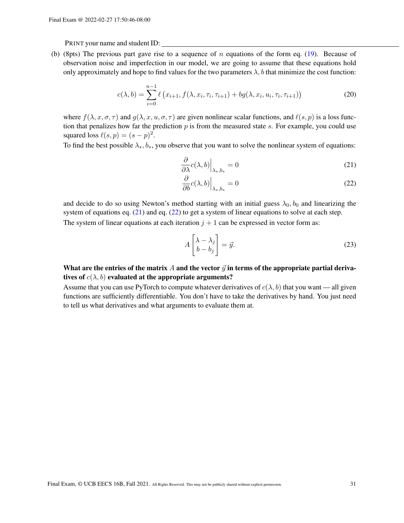(b) (8pts) The previous part gave rise to a sequence of n equations of the form eq. [\(19\)](#page-29-2). Because of observation noise and imperfection in our model, we are going to assume that these equations hold only approximately and hope to find values for the two parameters  $\lambda$ , b that minimize the cost function:

$$
c(\lambda, b) = \sum_{i=0}^{n-1} \ell(x_{i+1}, f(\lambda, x_i, \tau_i, \tau_{i+1}) + bg(\lambda, x_i, u_i, \tau_i, \tau_{i+1}))
$$
(20)

where  $f(\lambda, x, \sigma, \tau)$  and  $g(\lambda, x, u, \sigma, \tau)$  are given nonlinear scalar functions, and  $\ell(s, p)$  is a loss function that penalizes how far the prediction  $p$  is from the measured state s. For example, you could use squared loss  $\ell(s, p) = (s - p)^2$ .

To find the best possible  $\lambda_*, b_*,$  you observe that you want to solve the nonlinear system of equations:

$$
\left. \frac{\partial}{\partial \lambda} c(\lambda, b) \right|_{\lambda_*, b_*} = 0 \tag{21}
$$

<span id="page-30-1"></span><span id="page-30-0"></span>
$$
\left. \frac{\partial}{\partial b} c(\lambda, b) \right|_{\lambda_*, b_*} = 0 \tag{22}
$$

and decide to do so using Newton's method starting with an initial guess  $\lambda_0$ ,  $b_0$  and linearizing the system of equations eq. [\(21\)](#page-30-0) and eq. [\(22\)](#page-30-1) to get a system of linear equations to solve at each step. The system of linear equations at each iteration  $j + 1$  can be expressed in vector form as:

$$
A \begin{bmatrix} \lambda - \lambda_j \\ b - b_j \end{bmatrix} = \vec{y}.
$$
 (23)

# What are the entries of the matrix A and the vector  $\vec{y}$  in terms of the appropriate partial derivatives of  $c(\lambda, b)$  evaluated at the appropriate arguments?

Assume that you can use PyTorch to compute whatever derivatives of  $c(\lambda, b)$  that you want — all given functions are sufficiently differentiable. You don't have to take the derivatives by hand. You just need to tell us what derivatives and what arguments to evaluate them at.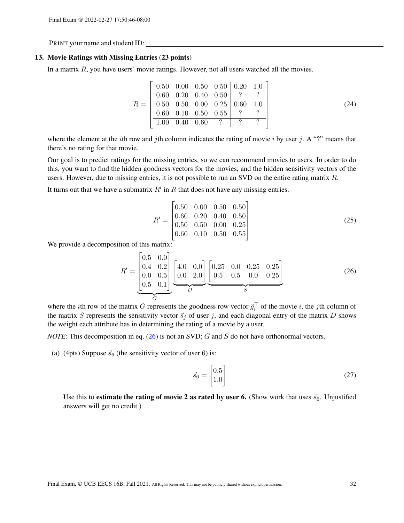## 13. Movie Ratings with Missing Entries (23 points)

In a matrix  $R$ , you have users' movie ratings. However, not all users watched all the movies.

$$
R = \begin{bmatrix} 0.50 & 0.00 & 0.50 & 0.50 & 0.20 & 1.0 \\ 0.60 & 0.20 & 0.40 & 0.50 & ? & ? \\ 0.50 & 0.50 & 0.00 & 0.25 & 0.60 & 1.0 \\ 0.60 & 0.10 & 0.50 & 0.55 & ? & ? \\ 1.00 & 0.40 & 0.60 & ? & ? & ? \end{bmatrix}
$$
(24)

where the element at the *i*th row and *j*th column indicates the rating of movie *i* by user *j*. A "?" means that there's no rating for that movie.

Our goal is to predict ratings for the missing entries, so we can recommend movies to users. In order to do this, you want to find the hidden goodness vectors for the movies, and the hidden sensitivity vectors of the users. However, due to missing entries, it is not possible to run an SVD on the entire rating matrix R.

It turns out that we have a submatrix  $R'$  in  $R$  that does not have any missing entries.

$$
R' = \begin{bmatrix} 0.50 & 0.00 & 0.50 & 0.50 \\ 0.60 & 0.20 & 0.40 & 0.50 \\ 0.50 & 0.50 & 0.00 & 0.25 \\ 0.60 & 0.10 & 0.50 & 0.55 \end{bmatrix}
$$
(25)

We provide a decomposition of this matrix:

$$
R' = \underbrace{\begin{bmatrix} 0.5 & 0.0 \\ 0.4 & 0.2 \\ 0.0 & 0.5 \\ 0.5 & 0.1 \end{bmatrix}}_{G} \underbrace{\begin{bmatrix} 4.0 & 0.0 \\ 0.0 & 2.0 \end{bmatrix}}_{D} \underbrace{\begin{bmatrix} 0.25 & 0.0 & 0.25 & 0.25 \\ 0.5 & 0.5 & 0.0 & 0.25 \end{bmatrix}}_{S}
$$
 (26)

where the *i*th row of the matrix G represents the goodness row vector  $\vec{g}_i^{\top}$  of the movie *i*, the *j*th column of the matrix S represents the sensitivity vector  $\vec{s}_j$  of user j, and each diagonal entry of the matrix D shows the weight each attribute has in determining the rating of a movie by a user.

*NOTE*: This decomposition in eq. [\(26\)](#page-31-0) is not an SVD; G and S do not have orthonormal vectors.

(a) (4pts) Suppose  $\vec{s}_6$  (the sensitivity vector of user 6) is:

<span id="page-31-0"></span>
$$
\vec{s}_6 = \begin{bmatrix} 0.5\\1.0 \end{bmatrix} \tag{27}
$$

Use this to **estimate the rating of movie 2 as rated by user 6.** (Show work that uses  $\vec{s}_6$ . Unjustified answers will get no credit.)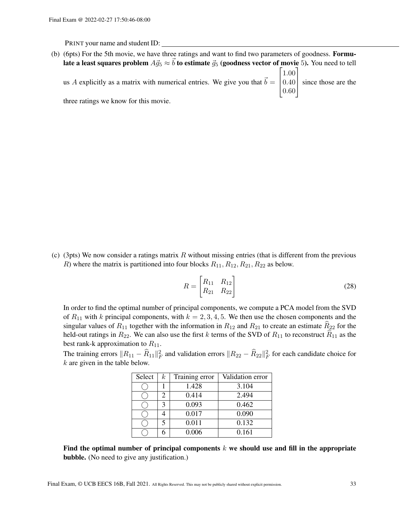(b) (6pts) For the 5th movie, we have three ratings and want to find two parameters of goodness. Formulate a least squares problem  $A\vec{g}_5 \approx \vec{b}$  to estimate  $\vec{g}_5$  (goodness vector of movie 5). You need to tell us A explicitly as a matrix with numerical entries. We give you that  $\vec{b} =$  $\lceil 1.00 \rceil$  0.40 since those are the  $\vert 0.60 \vert$ three ratings we know for this movie.

(c) (3pts) We now consider a ratings matrix  $R$  without missing entries (that is different from the previous R) where the matrix is partitioned into four blocks  $R_{11}, R_{12}, R_{21}, R_{22}$  as below.

$$
R = \begin{bmatrix} R_{11} & R_{12} \\ R_{21} & R_{22} \end{bmatrix}
$$
 (28)

In order to find the optimal number of principal components, we compute a PCA model from the SVD of  $R_{11}$  with k principal components, with  $k = 2, 3, 4, 5$ . We then use the chosen components and the singular values of  $R_{11}$  together with the information in  $R_{12}$  and  $R_{21}$  to create an estimate  $\widehat{R}_{22}$  for the held-out ratings in  $R_{22}$ . We can also use the first k terms of the SVD of  $R_{11}$  to reconstruct  $\hat{R}_{11}$  as the best rank-k approximation to  $R_{11}$ .

The training errors  $||R_{11} - \widehat{R}_{11}||_F^2$  and validation errors  $||R_{22} - \widehat{R}_{22}||_F^2$  for each candidate choice for  $k$  are given in the table below.

| Select | $\kappa$ | Training error | Validation error |
|--------|----------|----------------|------------------|
|        |          | 1.428          | 3.104            |
|        |          | 0.414          | 2.494            |
|        |          | 0.093          | 0.462            |
|        |          | 0.017          | 0.090            |
|        |          | 0.011          | 0.132            |
|        |          | 0.006          | 0.161            |

Find the optimal number of principal components  $k$  we should use and fill in the appropriate bubble. (No need to give any justification.)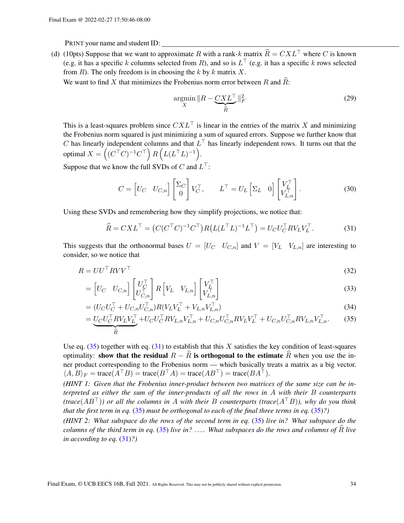(d) (10pts) Suppose that we want to approximate R with a rank-k matrix  $\hat{R} = C X L^{\top}$  where C is known (e.g. it has a specific k columns selected from R), and so is  $L^{\top}$  (e.g. it has a specific k rows selected from  $R$ ). The only freedom is in choosing the  $k$  by  $k$  matrix  $X$ .

We want to find X that minimizes the Frobenius norm error between  $R$  and  $R$ :

<span id="page-33-1"></span>
$$
\underset{X}{\operatorname{argmin}} \|R - \underbrace{CXL^{\top}}_{\widehat{R}}\|_{F}^{2}
$$
\n(29)

This is a least-squares problem since  $CXL^{\top}$  is linear in the entries of the matrix X and minimizing the Frobenius norm squared is just minimizing a sum of squared errors. Suppose we further know that C has linearly independent columns and that  $L^{\top}$  has linearly independent rows. It turns out that the optimal  $X = \left( (C^\top C)^{-1} C^\top \right) R \left( L (L^\top L)^{-1} \right)$ .

Suppose that we know the full SVDs of C and  $L^{\top}$ :

$$
C = \begin{bmatrix} U_C & U_{C,n} \end{bmatrix} \begin{bmatrix} \Sigma_C \\ 0 \end{bmatrix} V_C^{\top}, \qquad L^{\top} = U_L \begin{bmatrix} \Sigma_L & 0 \end{bmatrix} \begin{bmatrix} V_L^{\top} \\ V_{L,n}^{\top} \end{bmatrix}.
$$
 (30)

Using these SVDs and remembering how they simplify projections, we notice that:

<span id="page-33-0"></span>
$$
\widehat{R} = CXL^{\top} = \left(C(C^{\top}C)^{-1}C^{\top}\right)R\left(L(L^{\top}L)^{-1}L^{\top}\right) = U_CU_C^{\top}RV_LV_L^{\top}.
$$
\n(31)

This suggests that the orthonormal bases  $U = [U_C \ U_{C,n}]$  and  $V = [V_L \ V_{L,n}]$  are interesting to consider, so we notice that

$$
R = U U^{\top} R V V^{\top}
$$
\n<sup>(32)</sup>

$$
= \begin{bmatrix} U_C & U_{C,n} \end{bmatrix} \begin{bmatrix} U_C^\top \\ U_{C,n}^\top \end{bmatrix} R \begin{bmatrix} V_L & V_{L,n} \end{bmatrix} \begin{bmatrix} V_L^\top \\ V_{L,n}^\top \end{bmatrix}
$$
(33)

$$
= (U_C U_C^{\top} + U_{C,n} U_{C,n}^{\top}) R (V_L V_L^{\top} + V_{L,n} V_{L,n}^{\top})
$$
\n(34)

$$
=\underbrace{U_C U_C^\top R V_L V_L^\top}_{\widehat{R}}+U_C U_C^\top R V_{L,n} V_{L,n}^\top + U_{C,n} U_{C,n}^\top R V_L V_L^\top + U_{C,n} U_{C,n}^\top R V_{L,n} V_{L,n}^\top. \tag{35}
$$

Use eq. [\(35\)](#page-33-0) together with eq. [\(31\)](#page-33-1) to establish that this X satisfies the key condition of least-squares optimality: show that the residual  $R - \overline{R}$  is orthogonal to the estimate  $\overline{R}$  when you use the inner product corresponding to the Frobenius norm — which basically treats a matrix as a big vector.  $\langle A, B \rangle_F = \text{trace}(A^\top B) = \text{trace}(B^\top A) = \text{trace}(AB^\top) = \text{trace}(BA^\top).$ 

*(HINT 1: Given that the Frobenius inner-product between two matrices of the same size can be interpreted as either the sum of the inner-products of all the rows in* A *with their* B *counterparts (trace*(AB⊤)*) or all the columns in* A *with their* B *counterparts (trace*(A⊤B)*), why do you think that the first term in eq.* [\(35\)](#page-33-0) *must be orthogonal to each of the final three terms in eq.* [\(35\)](#page-33-0)*?)*

*(HINT 2: What subspace do the rows of the second term in eq.* [\(35\)](#page-33-0) *live in? What subspace do the columns of the third term in eq.* [\(35\)](#page-33-0) *live in?* .... What subspaces do the rows and columns of  $\overline{R}$  *live in according to eq.* [\(31\)](#page-33-1)*?)*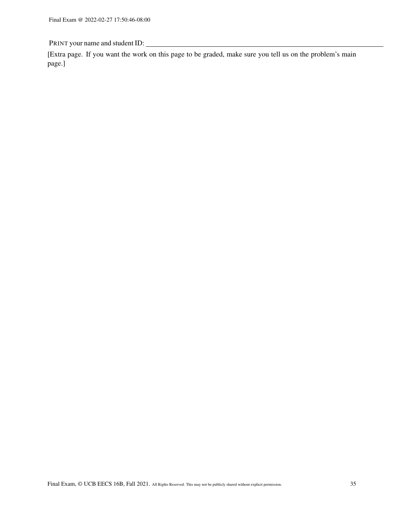[Extra page. If you want the work on this page to be graded, make sure you tell us on the problem's main page.]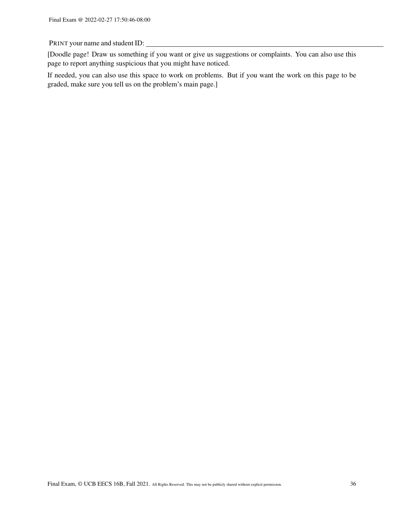[Doodle page! Draw us something if you want or give us suggestions or complaints. You can also use this page to report anything suspicious that you might have noticed.

If needed, you can also use this space to work on problems. But if you want the work on this page to be graded, make sure you tell us on the problem's main page.]